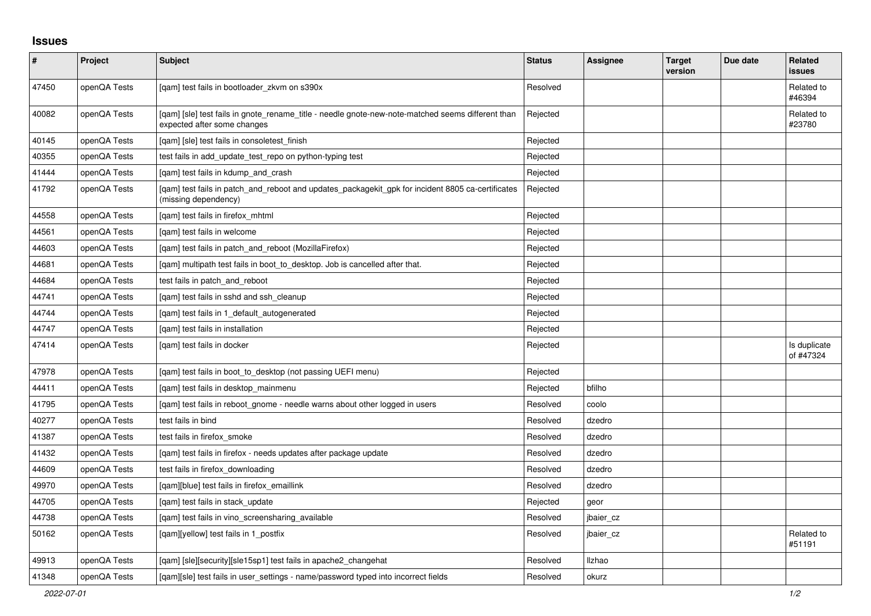## **Issues**

| #     | Project      | Subject                                                                                                                          | <b>Status</b> | Assignee  | <b>Target</b><br>version | Due date | Related<br><b>issues</b>  |
|-------|--------------|----------------------------------------------------------------------------------------------------------------------------------|---------------|-----------|--------------------------|----------|---------------------------|
| 47450 | openQA Tests | [qam] test fails in bootloader_zkvm on s390x                                                                                     | Resolved      |           |                          |          | Related to<br>#46394      |
| 40082 | openQA Tests | [gam] [sle] test fails in gnote rename title - needle gnote-new-note-matched seems different than<br>expected after some changes | Rejected      |           |                          |          | Related to<br>#23780      |
| 40145 | openQA Tests | [qam] [sle] test fails in consoletest_finish                                                                                     | Rejected      |           |                          |          |                           |
| 40355 | openQA Tests | test fails in add_update_test_repo on python-typing test                                                                         | Rejected      |           |                          |          |                           |
| 41444 | openQA Tests | [qam] test fails in kdump_and_crash                                                                                              | Rejected      |           |                          |          |                           |
| 41792 | openQA Tests | [gam] test fails in patch and reboot and updates packagekit gpk for incident 8805 ca-certificates<br>(missing dependency)        | Rejected      |           |                          |          |                           |
| 44558 | openQA Tests | [qam] test fails in firefox_mhtml                                                                                                | Rejected      |           |                          |          |                           |
| 44561 | openQA Tests | [gam] test fails in welcome                                                                                                      | Rejected      |           |                          |          |                           |
| 44603 | openQA Tests | [qam] test fails in patch_and_reboot (MozillaFirefox)                                                                            | Rejected      |           |                          |          |                           |
| 44681 | openQA Tests | [qam] multipath test fails in boot_to_desktop. Job is cancelled after that.                                                      | Rejected      |           |                          |          |                           |
| 44684 | openQA Tests | test fails in patch_and_reboot                                                                                                   | Rejected      |           |                          |          |                           |
| 44741 | openQA Tests | [gam] test fails in sshd and ssh cleanup                                                                                         | Rejected      |           |                          |          |                           |
| 44744 | openQA Tests | [gam] test fails in 1 default autogenerated                                                                                      | Rejected      |           |                          |          |                           |
| 44747 | openQA Tests | [gam] test fails in installation                                                                                                 | Rejected      |           |                          |          |                           |
| 47414 | openQA Tests | [qam] test fails in docker                                                                                                       | Rejected      |           |                          |          | Is duplicate<br>of #47324 |
| 47978 | openQA Tests | [gam] test fails in boot to desktop (not passing UEFI menu)                                                                      | Rejected      |           |                          |          |                           |
| 44411 | openQA Tests | [gam] test fails in desktop mainmenu                                                                                             | Rejected      | bfilho    |                          |          |                           |
| 41795 | openQA Tests | [gam] test fails in reboot gnome - needle warns about other logged in users                                                      | Resolved      | coolo     |                          |          |                           |
| 40277 | openQA Tests | test fails in bind                                                                                                               | Resolved      | dzedro    |                          |          |                           |
| 41387 | openQA Tests | test fails in firefox_smoke                                                                                                      | Resolved      | dzedro    |                          |          |                           |
| 41432 | openQA Tests | [qam] test fails in firefox - needs updates after package update                                                                 | Resolved      | dzedro    |                          |          |                           |
| 44609 | openQA Tests | test fails in firefox downloading                                                                                                | Resolved      | dzedro    |                          |          |                           |
| 49970 | openQA Tests | [qam][blue] test fails in firefox_emaillink                                                                                      | Resolved      | dzedro    |                          |          |                           |
| 44705 | openQA Tests | [gam] test fails in stack update                                                                                                 | Rejected      | geor      |                          |          |                           |
| 44738 | openQA Tests | [gam] test fails in vino screensharing available                                                                                 | Resolved      | jbaier cz |                          |          |                           |
| 50162 | openQA Tests | [gam][yellow] test fails in 1 postfix                                                                                            | Resolved      | jbaier cz |                          |          | Related to<br>#51191      |
| 49913 | openQA Tests | [qam] [sle][security][sle15sp1] test fails in apache2_changehat                                                                  | Resolved      | Ilzhao    |                          |          |                           |
| 41348 | openQA Tests | [gam][sle] test fails in user settings - name/password typed into incorrect fields                                               | Resolved      | okurz     |                          |          |                           |